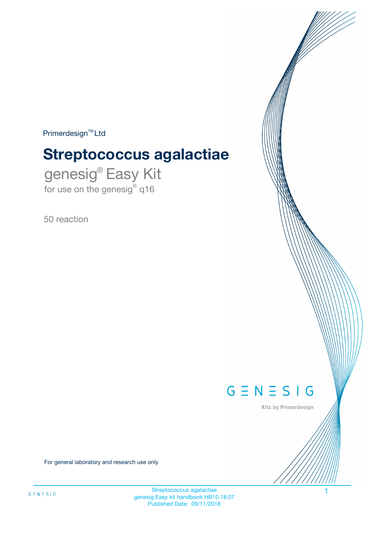$Primerdesign^{\text{TM}}Ltd$ 

# **Streptococcus agalactiae**

genesig® Easy Kit for use on the genesig® q16

50 reaction



Kits by Primerdesign

For general laboratory and research use only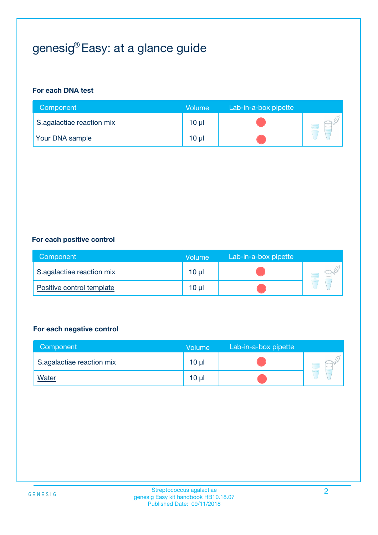# genesig® Easy: at a glance guide

#### **For each DNA test**

| Component                 | <b>Volume</b>   | Lab-in-a-box pipette |  |
|---------------------------|-----------------|----------------------|--|
| S.agalactiae reaction mix | $10 \mu$        |                      |  |
| <b>Your DNA sample</b>    | 10 <sub>µ</sub> |                      |  |

#### **For each positive control**

| Component                 | Volume          | Lab-in-a-box pipette |  |
|---------------------------|-----------------|----------------------|--|
| S.agalactiae reaction mix | 10 µl           |                      |  |
| Positive control template | 10 <sub>µ</sub> |                      |  |

#### **For each negative control**

| Component                 | Volume          | Lab-in-a-box pipette |  |
|---------------------------|-----------------|----------------------|--|
| S.agalactiae reaction mix | 10 <sub>µ</sub> |                      |  |
| <u>Water</u>              | 10 <sub>µ</sub> |                      |  |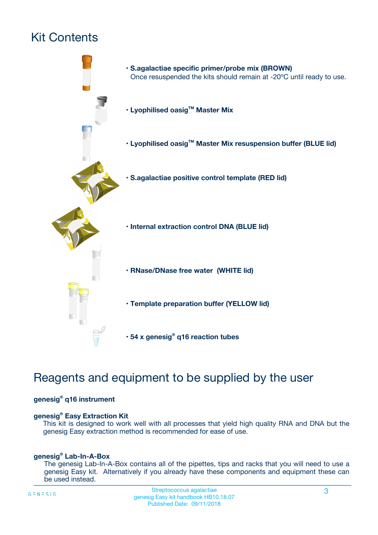# Kit Contents



# Reagents and equipment to be supplied by the user

#### **genesig® q16 instrument**

#### **genesig® Easy Extraction Kit**

This kit is designed to work well with all processes that yield high quality RNA and DNA but the genesig Easy extraction method is recommended for ease of use.

#### **genesig® Lab-In-A-Box**

The genesig Lab-In-A-Box contains all of the pipettes, tips and racks that you will need to use a genesig Easy kit. Alternatively if you already have these components and equipment these can be used instead.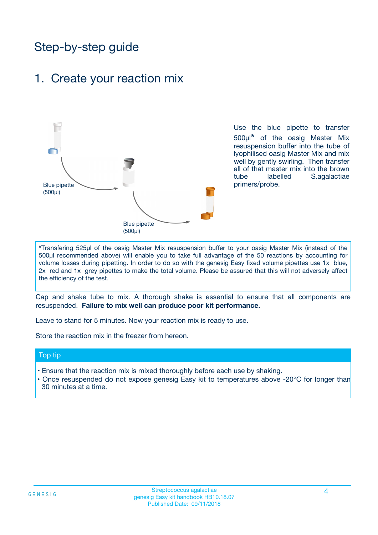# Step-by-step guide

## 1. Create your reaction mix



Use the blue pipette to transfer 500µl**\*** of the oasig Master Mix resuspension buffer into the tube of lyophilised oasig Master Mix and mix well by gently swirling. Then transfer all of that master mix into the brown tube labelled S.agalactiae primers/probe.

**\***Transfering 525µl of the oasig Master Mix resuspension buffer to your oasig Master Mix (instead of the 500µl recommended above) will enable you to take full advantage of the 50 reactions by accounting for volume losses during pipetting. In order to do so with the genesig Easy fixed volume pipettes use 1x blue, 2x red and 1x grey pipettes to make the total volume. Please be assured that this will not adversely affect the efficiency of the test.

Cap and shake tube to mix. A thorough shake is essential to ensure that all components are resuspended. **Failure to mix well can produce poor kit performance.**

Leave to stand for 5 minutes. Now your reaction mix is ready to use.

Store the reaction mix in the freezer from hereon.

#### Top tip

- Ensure that the reaction mix is mixed thoroughly before each use by shaking.
- **•** Once resuspended do not expose genesig Easy kit to temperatures above -20°C for longer than 30 minutes at a time.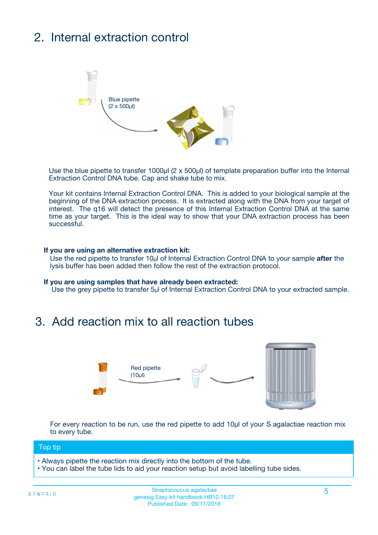# 2. Internal extraction control



Use the blue pipette to transfer 1000µl (2 x 500µl) of template preparation buffer into the Internal Extraction Control DNA tube. Cap and shake tube to mix.

Your kit contains Internal Extraction Control DNA. This is added to your biological sample at the beginning of the DNA extraction process. It is extracted along with the DNA from your target of interest. The q16 will detect the presence of this Internal Extraction Control DNA at the same time as your target. This is the ideal way to show that your DNA extraction process has been **successful.** 

#### **If you are using an alternative extraction kit:**

Use the red pipette to transfer 10µl of Internal Extraction Control DNA to your sample **after** the lysis buffer has been added then follow the rest of the extraction protocol.

#### **If you are using samples that have already been extracted:**

Use the grey pipette to transfer 5µl of Internal Extraction Control DNA to your extracted sample.

# 3. Add reaction mix to all reaction tubes



For every reaction to be run, use the red pipette to add 10µl of your S.agalactiae reaction mix to every tube.

#### Top tip

- Always pipette the reaction mix directly into the bottom of the tube.
- You can label the tube lids to aid your reaction setup but avoid labelling tube sides.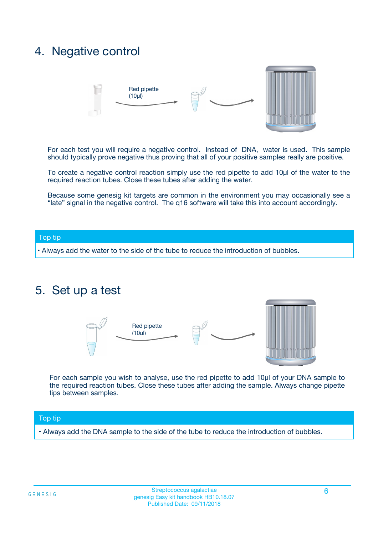# 4. Negative control



For each test you will require a negative control. Instead of DNA, water is used. This sample should typically prove negative thus proving that all of your positive samples really are positive.

To create a negative control reaction simply use the red pipette to add 10µl of the water to the required reaction tubes. Close these tubes after adding the water.

Because some genesig kit targets are common in the environment you may occasionally see a "late" signal in the negative control. The q16 software will take this into account accordingly.

#### Top tip

**•** Always add the water to the side of the tube to reduce the introduction of bubbles.

## 5. Set up a test



For each sample you wish to analyse, use the red pipette to add 10µl of your DNA sample to the required reaction tubes. Close these tubes after adding the sample. Always change pipette tips between samples.

#### Top tip

**•** Always add the DNA sample to the side of the tube to reduce the introduction of bubbles.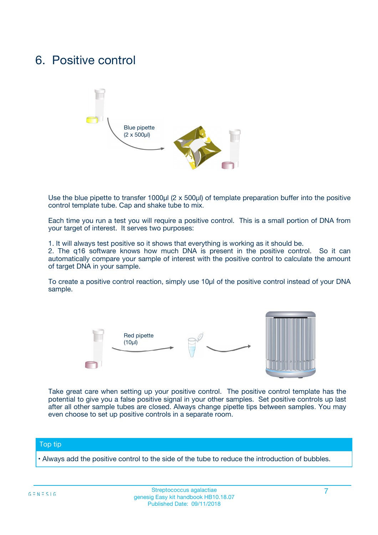# 6. Positive control



Use the blue pipette to transfer 1000µl (2 x 500µl) of template preparation buffer into the positive control template tube. Cap and shake tube to mix.

Each time you run a test you will require a positive control. This is a small portion of DNA from your target of interest. It serves two purposes:

1. It will always test positive so it shows that everything is working as it should be.

2. The q16 software knows how much DNA is present in the positive control. So it can automatically compare your sample of interest with the positive control to calculate the amount of target DNA in your sample.

To create a positive control reaction, simply use 10µl of the positive control instead of your DNA sample.



Take great care when setting up your positive control. The positive control template has the potential to give you a false positive signal in your other samples. Set positive controls up last after all other sample tubes are closed. Always change pipette tips between samples. You may even choose to set up positive controls in a separate room.

#### Top tip

**•** Always add the positive control to the side of the tube to reduce the introduction of bubbles.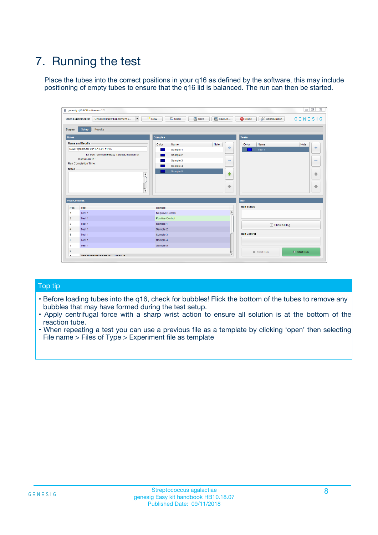# 7. Running the test

Place the tubes into the correct positions in your q16 as defined by the software, this may include positioning of empty tubes to ensure that the q16 lid is balanced. The run can then be started.

| genesig q16 PCR software - 1.2                                               |                                     | $\Box$                                                                                  |
|------------------------------------------------------------------------------|-------------------------------------|-----------------------------------------------------------------------------------------|
| Unsaved (New Experiment 2<br>$\vert \cdot \vert$<br><b>Open Experiments:</b> | <b>D</b> Open<br>Save<br>$\Box$ New | Save As<br><b>C</b> Close<br>$G \equiv N \equiv S \mid G$<br><b>&amp; Configuration</b> |
| Setup<br><b>Results</b><br><b>Stages:</b>                                    |                                     |                                                                                         |
| <b>Notes</b>                                                                 | Samples                             | <b>Tests</b>                                                                            |
| <b>Name and Details</b>                                                      | Color<br>Name                       | Note<br>Color<br>Note<br>Name                                                           |
| New Experiment 2017-10-26 11:06                                              | Sample 1                            | ع<br>条<br>Test 1                                                                        |
| Kit type: genesig® Easy Target Detection kit                                 | Sample 2                            |                                                                                         |
| Instrument Id.:                                                              | Sample 3                            | $\qquad \qquad \blacksquare$<br>$\qquad \qquad \blacksquare$                            |
| Run Completion Time:                                                         | Sample 4                            |                                                                                         |
| <b>Notes</b>                                                                 | Sample 5<br>A<br>v                  | $\triangle$<br>4<br>$\oplus$<br>₩                                                       |
| <b>Well Contents</b>                                                         |                                     | <b>Run</b>                                                                              |
| Pos.<br>Test                                                                 | Sample                              | <b>Run Status</b>                                                                       |
| Test 1<br>-1                                                                 | <b>Negative Control</b>             | $\blacktriangle$                                                                        |
| $\overline{2}$<br>Test 1                                                     | <b>Positive Control</b>             |                                                                                         |
| $\overline{\mathbf{3}}$<br>Test 1                                            | Sample 1                            | Show full log                                                                           |
| Test 1<br>$\overline{4}$                                                     | Sample 2                            |                                                                                         |
| 5<br>Test 1                                                                  | Sample 3                            | <b>Run Control</b>                                                                      |
| 6<br>Test 1                                                                  | Sample 4                            |                                                                                         |
| $\overline{7}$<br>Test 1                                                     | Sample 5                            |                                                                                         |
| 8                                                                            |                                     | $\triangleright$ Start Run<br>Abort Run                                                 |
| <b>JOD FURTY TUDE TO BUILDED IN</b>                                          |                                     | $\overline{\mathbf{v}}$                                                                 |

#### Top tip

- Before loading tubes into the q16, check for bubbles! Flick the bottom of the tubes to remove any bubbles that may have formed during the test setup.
- Apply centrifugal force with a sharp wrist action to ensure all solution is at the bottom of the reaction tube.
- When repeating a test you can use a previous file as a template by clicking 'open' then selecting File name > Files of Type > Experiment file as template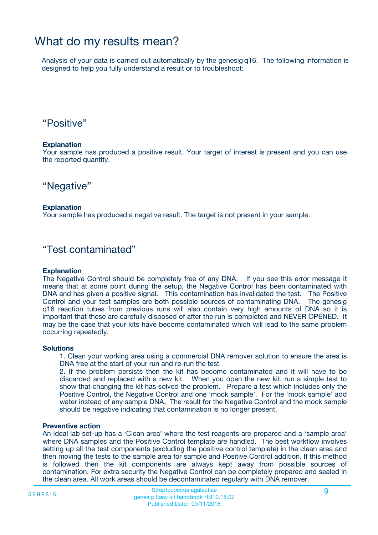# What do my results mean?

Analysis of your data is carried out automatically by the genesig q16. The following information is designed to help you fully understand a result or to troubleshoot:

## "Positive"

#### **Explanation**

Your sample has produced a positive result. Your target of interest is present and you can use the reported quantity.

"Negative"

#### **Explanation**

Your sample has produced a negative result. The target is not present in your sample.

### "Test contaminated"

#### **Explanation**

The Negative Control should be completely free of any DNA. If you see this error message it means that at some point during the setup, the Negative Control has been contaminated with DNA and has given a positive signal. This contamination has invalidated the test. The Positive Control and your test samples are both possible sources of contaminating DNA. The genesig q16 reaction tubes from previous runs will also contain very high amounts of DNA so it is important that these are carefully disposed of after the run is completed and NEVER OPENED. It may be the case that your kits have become contaminated which will lead to the same problem occurring repeatedly.

#### **Solutions**

1. Clean your working area using a commercial DNA remover solution to ensure the area is DNA free at the start of your run and re-run the test

2. If the problem persists then the kit has become contaminated and it will have to be discarded and replaced with a new kit. When you open the new kit, run a simple test to show that changing the kit has solved the problem. Prepare a test which includes only the Positive Control, the Negative Control and one 'mock sample'. For the 'mock sample' add water instead of any sample DNA. The result for the Negative Control and the mock sample should be negative indicating that contamination is no longer present.

#### **Preventive action**

An ideal lab set-up has a 'Clean area' where the test reagents are prepared and a 'sample area' where DNA samples and the Positive Control template are handled. The best workflow involves setting up all the test components (excluding the positive control template) in the clean area and then moving the tests to the sample area for sample and Positive Control addition. If this method is followed then the kit components are always kept away from possible sources of contamination. For extra security the Negative Control can be completely prepared and sealed in the clean area. All work areas should be decontaminated regularly with DNA remover.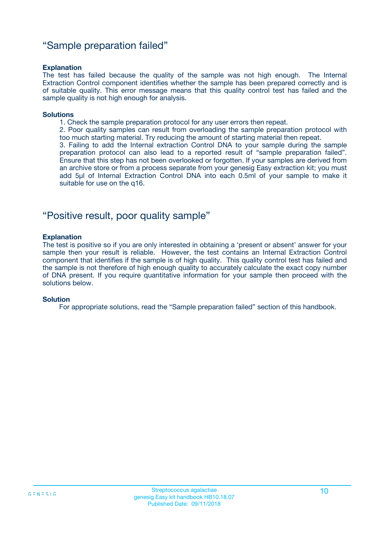### "Sample preparation failed"

#### **Explanation**

The test has failed because the quality of the sample was not high enough. The Internal Extraction Control component identifies whether the sample has been prepared correctly and is of suitable quality. This error message means that this quality control test has failed and the sample quality is not high enough for analysis.

#### **Solutions**

1. Check the sample preparation protocol for any user errors then repeat.

2. Poor quality samples can result from overloading the sample preparation protocol with too much starting material. Try reducing the amount of starting material then repeat.

3. Failing to add the Internal extraction Control DNA to your sample during the sample preparation protocol can also lead to a reported result of "sample preparation failed". Ensure that this step has not been overlooked or forgotten. If your samples are derived from an archive store or from a process separate from your genesig Easy extraction kit; you must add 5µl of Internal Extraction Control DNA into each 0.5ml of your sample to make it suitable for use on the q16.

### "Positive result, poor quality sample"

#### **Explanation**

The test is positive so if you are only interested in obtaining a 'present or absent' answer for your sample then your result is reliable. However, the test contains an Internal Extraction Control component that identifies if the sample is of high quality. This quality control test has failed and the sample is not therefore of high enough quality to accurately calculate the exact copy number of DNA present. If you require quantitative information for your sample then proceed with the solutions below.

#### **Solution**

For appropriate solutions, read the "Sample preparation failed" section of this handbook.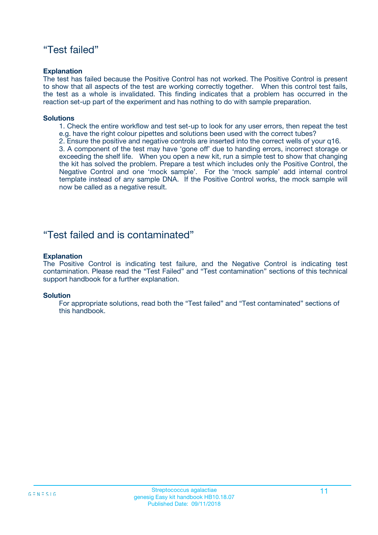## "Test failed"

#### **Explanation**

The test has failed because the Positive Control has not worked. The Positive Control is present to show that all aspects of the test are working correctly together. When this control test fails, the test as a whole is invalidated. This finding indicates that a problem has occurred in the reaction set-up part of the experiment and has nothing to do with sample preparation.

#### **Solutions**

- 1. Check the entire workflow and test set-up to look for any user errors, then repeat the test e.g. have the right colour pipettes and solutions been used with the correct tubes?
- 2. Ensure the positive and negative controls are inserted into the correct wells of your q16.

3. A component of the test may have 'gone off' due to handing errors, incorrect storage or exceeding the shelf life. When you open a new kit, run a simple test to show that changing the kit has solved the problem. Prepare a test which includes only the Positive Control, the Negative Control and one 'mock sample'. For the 'mock sample' add internal control template instead of any sample DNA. If the Positive Control works, the mock sample will now be called as a negative result.

### "Test failed and is contaminated"

#### **Explanation**

The Positive Control is indicating test failure, and the Negative Control is indicating test contamination. Please read the "Test Failed" and "Test contamination" sections of this technical support handbook for a further explanation.

#### **Solution**

For appropriate solutions, read both the "Test failed" and "Test contaminated" sections of this handbook.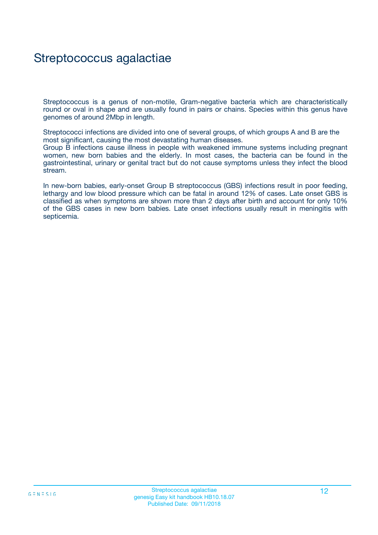# Streptococcus agalactiae

Streptococcus is a genus of non-motile, Gram-negative bacteria which are characteristically round or oval in shape and are usually found in pairs or chains. Species within this genus have genomes of around 2Mbp in length.

Streptococci infections are divided into one of several groups, of which groups A and B are the most significant, causing the most devastating human diseases.

Group B infections cause illness in people with weakened immune systems including pregnant women, new born babies and the elderly. In most cases, the bacteria can be found in the gastrointestinal, urinary or genital tract but do not cause symptoms unless they infect the blood stream.

In new-born babies, early-onset Group B streptococcus (GBS) infections result in poor feeding, lethargy and low blood pressure which can be fatal in around 12% of cases. Late onset GBS is classified as when symptoms are shown more than 2 days after birth and account for only 10% of the GBS cases in new born babies. Late onset infections usually result in meningitis with septicemia.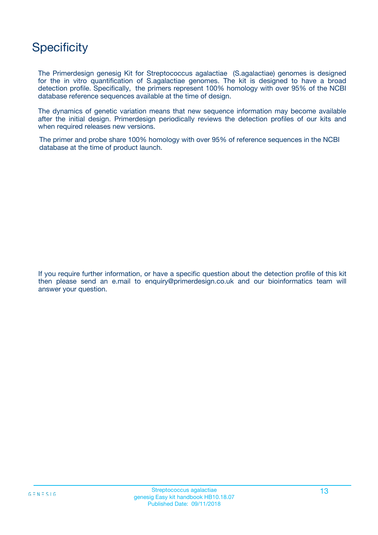# **Specificity**

The Primerdesign genesig Kit for Streptococcus agalactiae (S.agalactiae) genomes is designed for the in vitro quantification of S.agalactiae genomes. The kit is designed to have a broad detection profile. Specifically, the primers represent 100% homology with over 95% of the NCBI database reference sequences available at the time of design.

The dynamics of genetic variation means that new sequence information may become available after the initial design. Primerdesign periodically reviews the detection profiles of our kits and when required releases new versions.

The primer and probe share 100% homology with over 95% of reference sequences in the NCBI database at the time of product launch.

If you require further information, or have a specific question about the detection profile of this kit then please send an e.mail to enquiry@primerdesign.co.uk and our bioinformatics team will answer your question.